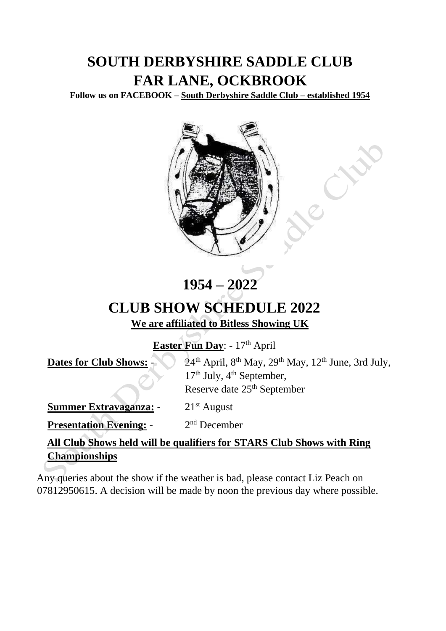## **SOUTH DERBYSHIRE SADDLE CLUB FAR LANE, OCKBROOK**

**Follow us on FACEBOOK – South Derbyshire Saddle Club – established 1954**



## **1954 – 2022**

## **CLUB SHOW SCHEDULE 2022 We are affiliated to Bitless Showing UK**

Easter Fun Day: - 17<sup>th</sup> April

| <b>Dates for Club Shows: -</b>                                        | 24 <sup>th</sup> April, 8 <sup>th</sup> May, 29 <sup>th</sup> May, 12 <sup>th</sup> June, 3rd July,<br>$17th$ July, $4th$ September, |  |  |
|-----------------------------------------------------------------------|--------------------------------------------------------------------------------------------------------------------------------------|--|--|
|                                                                       | Reserve date 25 <sup>th</sup> September                                                                                              |  |  |
| <b>Summer Extravaganza: -</b>                                         | $21st$ August                                                                                                                        |  |  |
| <b>Presentation Evening: -</b>                                        | $2nd$ December                                                                                                                       |  |  |
| All Club Shows held will be qualifiers for STARS Club Shows with Ring |                                                                                                                                      |  |  |
| <b>Championships</b>                                                  |                                                                                                                                      |  |  |

Any queries about the show if the weather is bad, please contact Liz Peach on 07812950615. A decision will be made by noon the previous day where possible.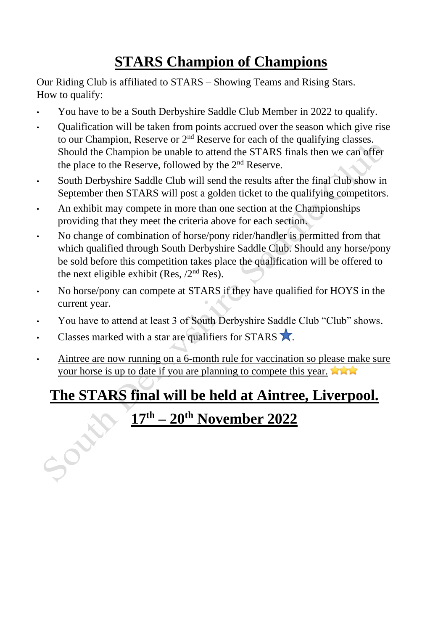# **STARS Champion of Champions**

Our Riding Club is affiliated to STARS – Showing Teams and Rising Stars. How to qualify:

- You have to be a South Derbyshire Saddle Club Member in 2022 to qualify.
- Qualification will be taken from points accrued over the season which give rise to our Champion, Reserve or  $2<sup>nd</sup>$  Reserve for each of the qualifying classes. Should the Champion be unable to attend the STARS finals then we can offer the place to the Reserve, followed by the 2nd Reserve.
- South Derbyshire Saddle Club will send the results after the final club show in September then STARS will post a golden ticket to the qualifying competitors.
- An exhibit may compete in more than one section at the Championships providing that they meet the criteria above for each section.
- No change of combination of horse/pony rider/handler is permitted from that which qualified through South Derbyshire Saddle Club. Should any horse/pony be sold before this competition takes place the qualification will be offered to the next eligible exhibit (Res,  $/2<sup>nd</sup>$  Res).
- No horse/pony can compete at STARS if they have qualified for HOYS in the current year.
- You have to attend at least 3 of South Derbyshire Saddle Club "Club" shows.
- Classes marked with a star are qualifiers for STARS  $\lambda$ .
- Aintree are now running on a 6-month rule for vaccination so please make sure your horse is up to date if you are planning to compete this year.

## **The STARS final will be held at Aintree, Liverpool.**

# **17th – 20th November 2022**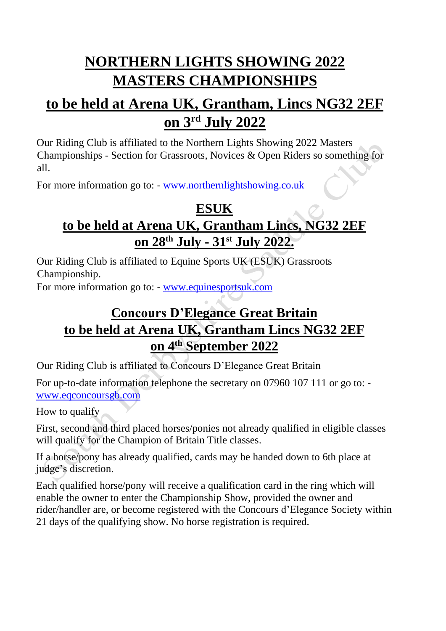## **NORTHERN LIGHTS SHOWING 2022 MASTERS CHAMPIONSHIPS**

## **to be held at Arena UK, Grantham, Lincs NG32 2EF on 3 rd July 2022**

Our Riding Club is affiliated to the Northern Lights Showing 2022 Masters Championships - Section for Grassroots, Novices & Open Riders so something for all.

For more information go to: - [www.northernlightshowing.co.uk](http://www.northernlightshowing.co.uk/)

## **ESUK to be held at Arena UK, Grantham Lincs, NG32 2EF on 28th July - 31 st July 2022.**

Our Riding Club is affiliated to Equine Sports UK (ESUK) Grassroots Championship.

For more information go to: - [www.equinesportsuk.com](http://www.equinesportsuk.com/)

## **Concours D'Elegance Great Britain to be held at Arena UK, Grantham Lincs NG32 2EF on 4th September 2022**

Our Riding Club is affiliated to Concours D'Elegance Great Britain

For up-to-date information telephone the secretary on 07960 107 111 or go to: [www.eqconcoursgb.com](http://www.eqconcoursgb.com/)

How to qualify

First, second and third placed horses/ponies not already qualified in eligible classes will qualify for the Champion of Britain Title classes.

If a horse/pony has already qualified, cards may be handed down to 6th place at judge's discretion.

Each qualified horse/pony will receive a qualification card in the ring which will enable the owner to enter the Championship Show, provided the owner and rider/handler are, or become registered with the Concours d'Elegance Society within 21 days of the qualifying show. No horse registration is required.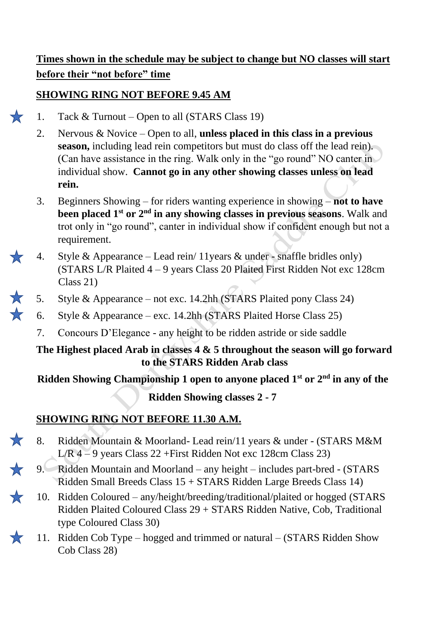## **Times shown in the schedule may be subject to change but NO classes will start before their "not before" time**

### **SHOWING RING NOT BEFORE 9.45 AM**

- 1. Tack & Turnout Open to all (STARS Class 19)
- 2. Nervous & Novice Open to all, **unless placed in this class in a previous season,** including lead rein competitors but must do class off the lead rein). (Can have assistance in the ring. Walk only in the "go round" NO canter in individual show. **Cannot go in any other showing classes unless on lead rein.**
- 3. Beginners Showing for riders wanting experience in showing **not to have been placed 1st or 2nd in any showing classes in previous seasons**. Walk and trot only in "go round", canter in individual show if confident enough but not a requirement.
- 4. Style & Appearance Lead rein/ 11years & under snaffle bridles only) (STARS L/R Plaited 4 – 9 years Class 20 Plaited First Ridden Not exc 128cm Class 21)
- 5. Style & Appearance not exc. 14.2hh (STARS Plaited pony Class 24)
	- 6. Style & Appearance exc. 14.2hh (STARS Plaited Horse Class 25)
		- 7. Concours D'Elegance any height to be ridden astride or side saddle

#### **The Highest placed Arab in classes 4 & 5 throughout the season will go forward to the STARS Ridden Arab class**

**Ridden Showing Championship 1 open to anyone placed 1st or 2nd in any of the** 

**Ridden Showing classes 2 - 7**

## **SHOWING RING NOT BEFORE 11.30 A.M.**

 $\frac{1}{2}$ 

- 8. Ridden Mountain & Moorland- Lead rein/11 years & under (STARS M&M L/R 4 – 9 years Class 22 +First Ridden Not exc 128cm Class 23)
- 9. Ridden Mountain and Moorland any height includes part-bred (STARS Ridden Small Breeds Class 15 + STARS Ridden Large Breeds Class 14)
	- 10. Ridden Coloured any/height/breeding/traditional/plaited or hogged (STARS Ridden Plaited Coloured Class 29 + STARS Ridden Native, Cob, Traditional type Coloured Class 30)
- 11. Ridden Cob Type hogged and trimmed or natural (STARS Ridden Show Cob Class 28)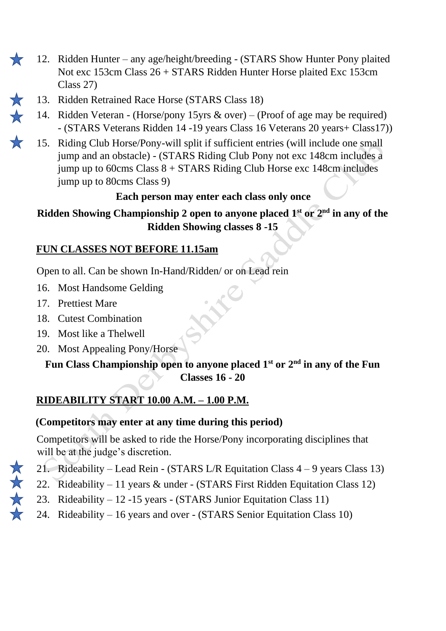- 12. Ridden Hunter any age/height/breeding (STARS Show Hunter Pony plaited 77 Not exc 153cm Class 26 + STARS Ridden Hunter Horse plaited Exc 153cm Class 27)
	- 13. Ridden Retrained Race Horse (STARS Class 18)
	- 14. Ridden Veteran (Horse/pony 15yrs & over) (Proof of age may be required) - (STARS Veterans Ridden 14 -19 years Class 16 Veterans 20 years+ Class17))
		- 15. Riding Club Horse/Pony-will split if sufficient entries (will include one small jump and an obstacle) - (STARS Riding Club Pony not exc 148cm includes a jump up to 60cms Class 8 + STARS Riding Club Horse exc 148cm includes jump up to 80cms Class 9)

## **Each person may enter each class only once**

**Ridden Showing Championship 2 open to anyone placed 1st or 2nd in any of the Ridden Showing classes 8 -15**

## **FUN CLASSES NOT BEFORE 11.15am**

Open to all. Can be shown In-Hand/Ridden/ or on Lead rein

- 16. Most Handsome Gelding
- 17. Prettiest Mare
- 18. Cutest Combination
- 19. Most like a Thelwell
- 20. Most Appealing Pony/Horse

## **Fun Class Championship open to anyone placed 1st or 2nd in any of the Fun Classes 16 - 20**

## **RIDEABILITY START 10.00 A.M. – 1.00 P.M.**

## **(Competitors may enter at any time during this period)**

Competitors will be asked to ride the Horse/Pony incorporating disciplines that will be at the judge's discretion.

- 21. Rideability Lead Rein (STARS L/R Equitation Class 4 9 years Class 13)
- 22. Rideability 11 years & under (STARS First Ridden Equitation Class 12)
- 23. Rideability 12 -15 years (STARS Junior Equitation Class 11)
- 24. Rideability 16 years and over (STARS Senior Equitation Class 10)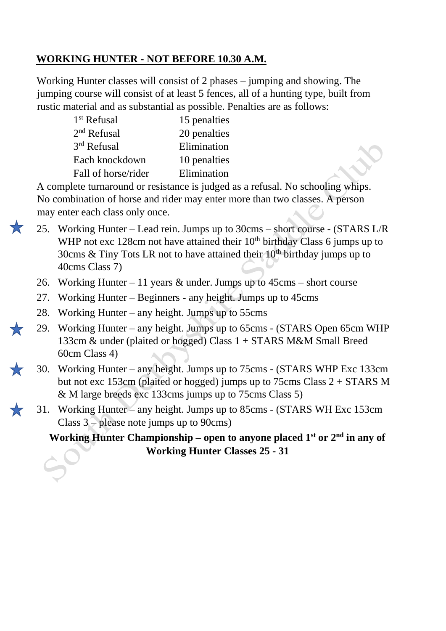### **WORKING HUNTER - NOT BEFORE 10.30 A.M.**

Working Hunter classes will consist of 2 phases – jumping and showing. The jumping course will consist of at least 5 fences, all of a hunting type, built from rustic material and as substantial as possible. Penalties are as follows:

| $1st$ Refusal       | 15 penalties |
|---------------------|--------------|
| $2nd$ Refusal       | 20 penalties |
| 3rd Refusal         | Elimination  |
| Each knockdown      | 10 penalties |
| Fall of horse/rider | Elimination  |

A complete turnaround or resistance is judged as a refusal. No schooling whips. No combination of horse and rider may enter more than two classes. A person may enter each class only once.

- 25. Working Hunter Lead rein. Jumps up to 30cms short course (STARS L/R WHP not exc 128cm not have attained their  $10<sup>th</sup>$  birthday Class 6 jumps up to 30cms & Tiny Tots LR not to have attained their  $10^{th}$  birthday jumps up to 40cms Class 7)
	- 26. Working Hunter 11 years & under. Jumps up to 45cms short course
	- 27. Working Hunter Beginners any height. Jumps up to 45cms
- 28. Working Hunter any height. Jumps up to 55cms
- 29. Working Hunter any height. Jumps up to 65cms (STARS Open 65cm WHP 133cm & under (plaited or hogged) Class 1 + STARS M&M Small Breed 60cm Class 4)
- 30. Working Hunter any height. Jumps up to 75cms (STARS WHP Exc 133cm but not exc 153cm (plaited or hogged) jumps up to 75cms Class 2 + STARS M & M large breeds exc 133cms jumps up to 75cms Class 5)
- 31. Working Hunter any height. Jumps up to 85cms (STARS WH Exc 153cm Class 3 – please note jumps up to 90cms)

**Working Hunter Championship – open to anyone placed 1st or 2nd in any of Working Hunter Classes 25 - 31**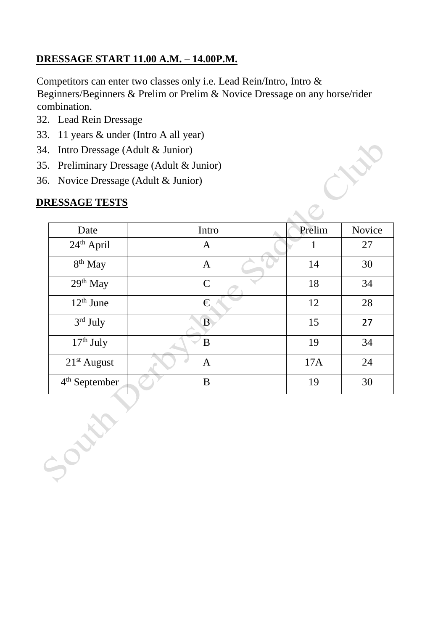## **DRESSAGE START 11.00 A.M. – 14.00P.M.**

Competitors can enter two classes only i.e. Lead Rein/Intro, Intro & Beginners/Beginners & Prelim or Prelim & Novice Dressage on any horse/rider combination.

- 32. Lead Rein Dressage
- 33. 11 years & under (Intro A all year)
- 34. Intro Dressage (Adult & Junior)
- 35. Preliminary Dressage (Adult & Junior)
- 36. Novice Dressage (Adult & Junior)

### **DRESSAGE TESTS**

South

|                      | . Preliminary Dressage (Adult $&$ Junior) |        |        |
|----------------------|-------------------------------------------|--------|--------|
|                      | Novice Dressage (Adult & Junior)          |        |        |
| <b>RESSAGE TESTS</b> |                                           |        |        |
|                      |                                           |        |        |
| Date                 | Intro                                     | Prelim | Novice |
| $24th$ April         | $\mathbf{A}$                              | 1      | 27     |
| 8 <sup>th</sup> May  | $\mathbf{A}$                              | 14     | 30     |
| $29th$ May           | $\mathbf C$                               | 18     | 34     |
| $12th$ June          | $\overline{C}$                            | 12     | 28     |
| 3rd July             | $\overline{B}$                            | 15     | 27     |
| $17th$ July          | B                                         | 19     | 34     |
| $21st$ August        | $\mathbf{A}$                              | 17A    | 24     |
| $4th$ September      | B                                         | 19     | 30     |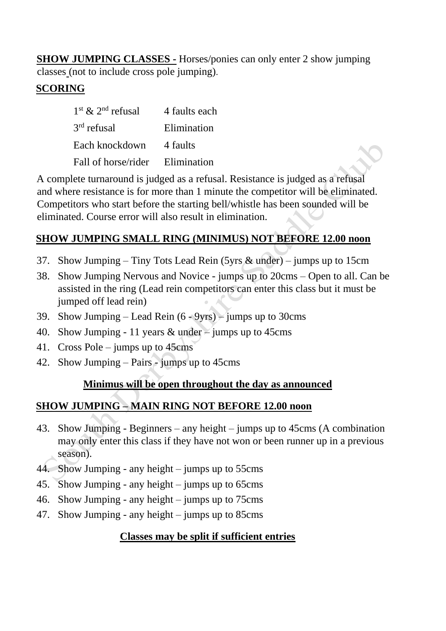**SHOW JUMPING CLASSES -** Horses/ponies can only enter 2 show jumping classes (not to include cross pole jumping).

## **SCORING**

| $1st$ & $2nd$ refusal   | 4 faults each |
|-------------------------|---------------|
| 3 <sup>rd</sup> refusal | Elimination   |
| Each knockdown          | 4 faults      |
| Fall of horse/rider     | Elimination   |

A complete turnaround is judged as a refusal. Resistance is judged as a refusal and where resistance is for more than 1 minute the competitor will be eliminated. Competitors who start before the starting bell/whistle has been sounded will be eliminated. Course error will also result in elimination.

### **SHOW JUMPING SMALL RING (MINIMUS) NOT BEFORE 12.00 noon**

- 37. Show Jumping Tiny Tots Lead Rein (5yrs & under) jumps up to 15cm
- 38. Show Jumping Nervous and Novice jumps up to 20cms Open to all. Can be assisted in the ring (Lead rein competitors can enter this class but it must be jumped off lead rein)
- 39. Show Jumping Lead Rein  $(6 9yrs)$  jumps up to 30cms
- 40. Show Jumping 11 years & under jumps up to 45cms
- 41. Cross Pole jumps up to 45cms
- 42. Show Jumping Pairs jumps up to 45cms

#### **Minimus will be open throughout the day as announced**

#### **SHOW JUMPING – MAIN RING NOT BEFORE 12.00 noon**

- 43. Show Jumping Beginners any height jumps up to 45cms (A combination may only enter this class if they have not won or been runner up in a previous season).
- 44. Show Jumping any height jumps up to 55cms
- 45. Show Jumping any height jumps up to 65cms
- 46. Show Jumping any height jumps up to 75cms
- 47. Show Jumping any height jumps up to 85cms

#### **Classes may be split if sufficient entries**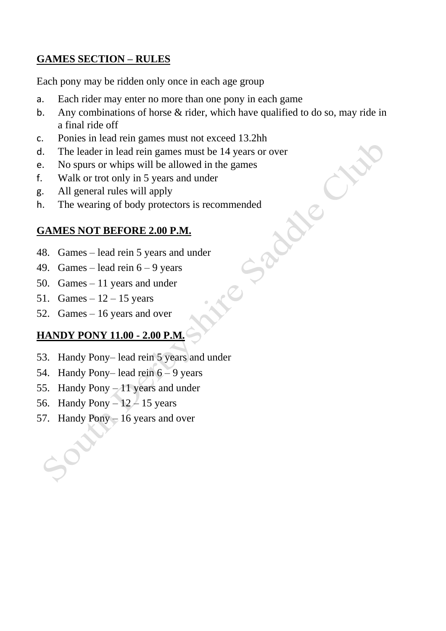### **GAMES SECTION – RULES**

Each pony may be ridden only once in each age group

- a. Each rider may enter no more than one pony in each game
- b. Any combinations of horse  $\&$  rider, which have qualified to do so, may ride in a final ride off

 $\overline{C}$ 

- c. Ponies in lead rein games must not exceed 13.2hh
- d. The leader in lead rein games must be 14 years or over
- e. No spurs or whips will be allowed in the games
- f. Walk or trot only in 5 years and under
- g. All general rules will apply
- h. The wearing of body protectors is recommended<br> **GAMES NOT BEFORE 2.00 P.M.**<br>
48. Games lead rein 5 vectors<br>
49. Games

### **GAMES NOT BEFORE 2.00 P.M.**

- 48. Games lead rein 5 years and under
- 49. Games lead rein  $6 9$  years
- 50. Games 11 years and under
- 51. Games  $-12 15$  years
- 52. Games 16 years and over

## **HANDY PONY 11.00 - 2.00 P.M.**

- 53. Handy Pony– lead rein 5 years and under
- 54. Handy Pony– lead rein 6 9 years
- 55. Handy Pony 11 years and under
- 56. Handy Pony  $-12-15$  years
- 57. Handy Pony 16 years and over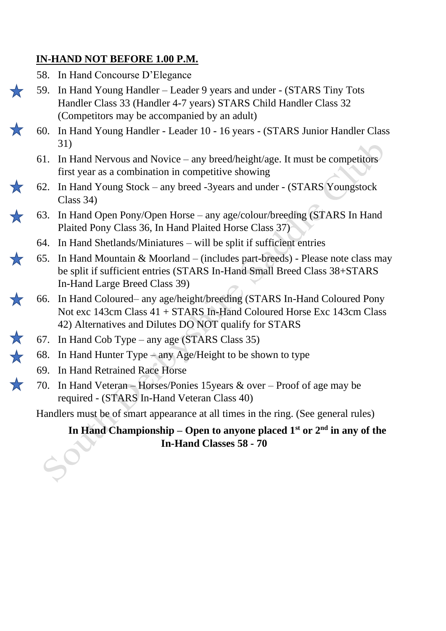### **IN-HAND NOT BEFORE 1.00 P.M.**

- 58. In Hand Concourse D'Elegance
- 59. In Hand Young Handler Leader 9 years and under (STARS Tiny Tots Handler Class 33 (Handler 4-7 years) STARS Child Handler Class 32 (Competitors may be accompanied by an adult)
- 60. In Hand Young Handler Leader 10 16 years (STARS Junior Handler Class 31)
- 61. In Hand Nervous and Novice any breed/height/age. It must be competitors first year as a combination in competitive showing
- 62. In Hand Young Stock any breed -3years and under (STARS Youngstock Class 34)
- 63. In Hand Open Pony/Open Horse any age/colour/breeding (STARS In Hand Plaited Pony Class 36, In Hand Plaited Horse Class 37)
	- 64. In Hand Shetlands/Miniatures will be split if sufficient entries
- 65. In Hand Mountain & Moorland (includes part-breeds) Please note class may be split if sufficient entries (STARS In-Hand Small Breed Class 38+STARS In-Hand Large Breed Class 39)
- 66. In Hand Coloured– any age/height/breeding (STARS In-Hand Coloured Pony  $\mathbf{r}$ Not exc 143cm Class 41 + STARS In-Hand Coloured Horse Exc 143cm Class 42) Alternatives and Dilutes DO NOT qualify for STARS
	- 67. In Hand Cob Type any age (STARS Class 35)
	- 68. In Hand Hunter Type any Age/Height to be shown to type
		- 69. In Hand Retrained Race Horse
	- 70. In Hand Veteran Horses/Ponies 15years & over Proof of age may be required - (STARS In-Hand Veteran Class 40)

Handlers must be of smart appearance at all times in the ring. (See general rules)

**In Hand Championship – Open to anyone placed 1st or 2nd in any of the In-Hand Classes 58 - 70**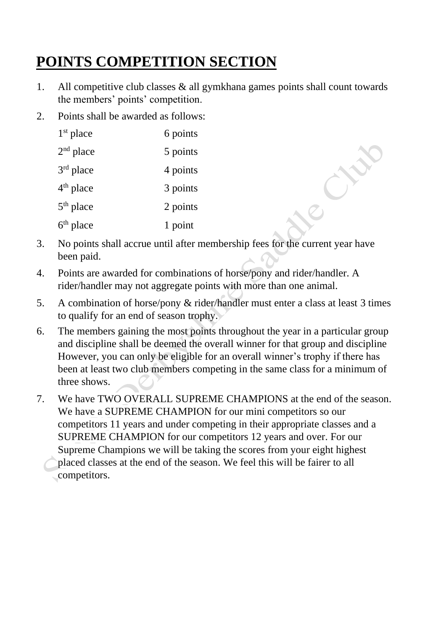# **POINTS COMPETITION SECTION**

- 1. All competitive club classes & all gymkhana games points shall count towards the members' points' competition.
- 2. Points shall be awarded as follows:

| $1st$ place | 6 points |
|-------------|----------|
| $2nd$ place | 5 points |
| $3rd$ place | 4 points |
| $4th$ place | 3 points |
| $5th$ place | 2 points |
| $6th$ place | 1 point  |

- 3. No points shall accrue until after membership fees for the current year have been paid.
- 4. Points are awarded for combinations of horse/pony and rider/handler. A rider/handler may not aggregate points with more than one animal.
- 5. A combination of horse/pony & rider/handler must enter a class at least 3 times to qualify for an end of season trophy.
- 6. The members gaining the most points throughout the year in a particular group and discipline shall be deemed the overall winner for that group and discipline However, you can only be eligible for an overall winner's trophy if there has been at least two club members competing in the same class for a minimum of three shows.
- 7. We have TWO OVERALL SUPREME CHAMPIONS at the end of the season. We have a SUPREME CHAMPION for our mini competitors so our competitors 11 years and under competing in their appropriate classes and a SUPREME CHAMPION for our competitors 12 years and over. For our Supreme Champions we will be taking the scores from your eight highest placed classes at the end of the season. We feel this will be fairer to all competitors.